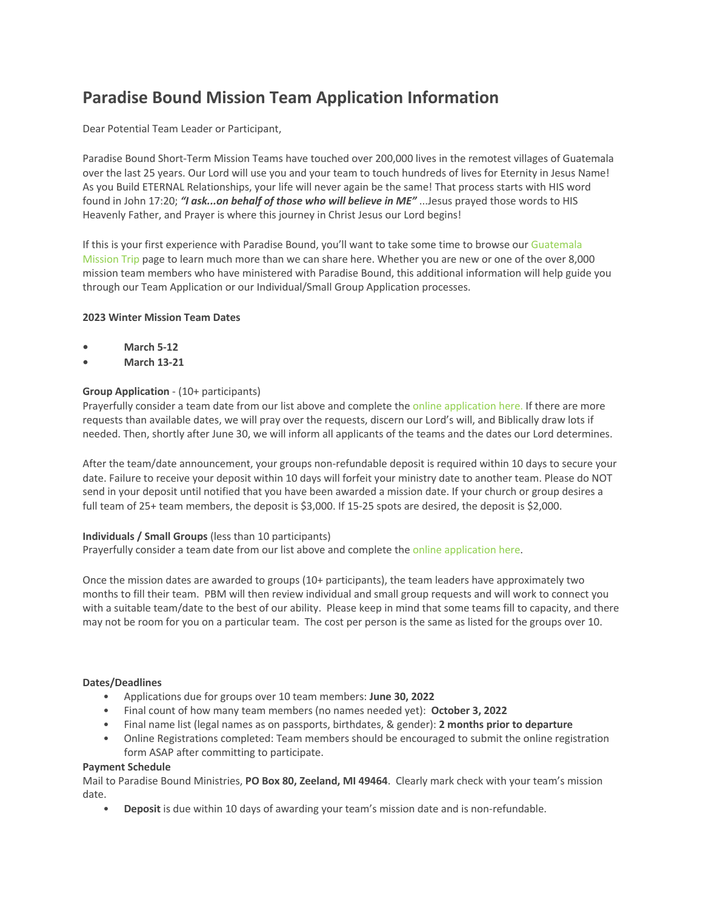# **Paradise Bound Mission Team Application Information**

Dear Potential Team Leader or Participant,

Paradise Bound Short-Term Mission Teams have touched over 200,000 lives in the remotest villages of Guatemala over the last 25 years. Our Lord will use you and your team to touch hundreds of lives for Eternity in Jesus Name! As you Build ETERNAL Relationships, your life will never again be the same! That process starts with HIS word found in John 17:20; *"I ask...on behalf of those who will believe in ME"* ...Jesus prayed those words to HIS Heavenly Father, and Prayer is where this journey in Christ Jesus our Lord begins!

If this is your first experience with Paradise Bound, you'll want to take some time to browse our [Guatemala](https://paradisebound.org/mission-teams/)  [Mission Trip](https://paradisebound.org/mission-teams/) page to learn much more than we can share here. Whether you are new or one of the over 8,000 mission team members who have ministered with Paradise Bound, this additional information will help guide you through our Team Application or our Individual/Small Group Application processes.

## **2023 Winter Mission Team Dates**

- **• March 5-12**
- **• March 13-21**

## **Group Application** - (10+ participants)

Prayerfully consider a team date from our list above and complete th[e online application here.](https://paradisebound.org/mission-teams-application/) If there are more requests than available dates, we will pray over the requests, discern our Lord's will, and Biblically draw lots if needed. Then, shortly after June 30, we will inform all applicants of the teams and the dates our Lord determines.

After the team/date announcement, your groups non-refundable deposit is required within 10 days to secure your date. Failure to receive your deposit within 10 days will forfeit your ministry date to another team. Please do NOT send in your deposit until notified that you have been awarded a mission date. If your church or group desires a full team of 25+ team members, the deposit is \$3,000. If 15-25 spots are desired, the deposit is \$2,000.

## **Individuals / Small Groups** (less than 10 participants)

Prayerfully consider a team date from our list above and complete th[e online application here.](https://paradisebound.org/mission-teams-application/)

Once the mission dates are awarded to groups (10+ participants), the team leaders have approximately two months to fill their team. PBM will then review individual and small group requests and will work to connect you with a suitable team/date to the best of our ability. Please keep in mind that some teams fill to capacity, and there may not be room for you on a particular team. The cost per person is the same as listed for the groups over 10.

## **Dates/Deadlines**

- Applications due for groups over 10 team members: **June 30, 2022**
- Final count of how many team members (no names needed yet): **October 3, 2022**
- Final name list (legal names as on passports, birthdates, & gender): **2 months prior to departure**
- Online Registrations completed: Team members should be encouraged to submit the online registration form ASAP after committing to participate.

## **Payment Schedule**

Mail to Paradise Bound Ministries, **PO Box 80, Zeeland, MI 49464**. Clearly mark check with your team's mission date.

• **Deposit** is due within 10 days of awarding your team's mission date and is non-refundable.